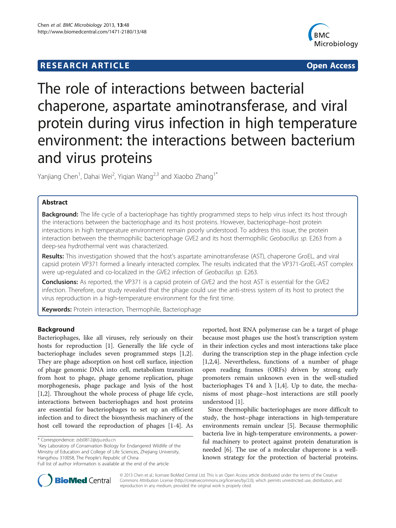## **RESEARCH ARTICLE Example 2008 CONSIDERING CONSIDERING CONSIDERING CONSIDERING CONSIDERING CONSIDERING CONSIDERING CONSIDERING CONSIDERING CONSIDERING CONSIDERING CONSIDERING CONSIDERING CONSIDERING CONSIDERING CONSIDE**



# The role of interactions between bacterial chaperone, aspartate aminotransferase, and viral protein during virus infection in high temperature environment: the interactions between bacterium and virus proteins

Yanjiang Chen<sup>1</sup>, Dahai Wei<sup>2</sup>, Yiqian Wang<sup>2,3</sup> and Xiaobo Zhang<sup>1\*</sup>

## Abstract

**Background:** The life cycle of a bacteriophage has tightly programmed steps to help virus infect its host through the interactions between the bacteriophage and its host proteins. However, bacteriophage–host protein interactions in high temperature environment remain poorly understood. To address this issue, the protein interaction between the thermophilic bacteriophage GVE2 and its host thermophilic Geobacillus sp. E263 from a deep-sea hydrothermal vent was characterized.

Results: This investigation showed that the host's aspartate aminotransferase (AST), chaperone GroEL, and viral capsid protein VP371 formed a linearly interacted complex. The results indicated that the VP371-GroEL-AST complex were up-regulated and co-localized in the GVE2 infection of Geobacillus sp. E263.

Conclusions: As reported, the VP371 is a capsid protein of GVE2 and the host AST is essential for the GVE2 infection. Therefore, our study revealed that the phage could use the anti-stress system of its host to protect the virus reproduction in a high-temperature environment for the first time.

Keywords: Protein interaction, Thermophile, Bacteriophage

## Background

Bacteriophages, like all viruses, rely seriously on their hosts for reproduction [[1\]](#page-8-0). Generally the life cycle of bacteriophage includes seven programmed steps [\[1,2](#page-8-0)]. They are phage adsorption on host cell surface, injection of phage genomic DNA into cell, metabolism transition from host to phage, phage genome replication, phage morphogenesis, phage package and lysis of the host [[1,2\]](#page-8-0). Throughout the whole process of phage life cycle, interactions between bacteriophages and host proteins are essential for bacteriophages to set up an efficient infection and to direct the biosynthesis machinery of the host cell toward the reproduction of phages [\[1-4](#page-8-0)]. As

<sup>1</sup>Key Laboratory of Conservation Biology for Endangered Wildlife of the Ministry of Education and College of Life Sciences, Zhejiang University, Hangzhou 310058, The People's Republic of China

reported, host RNA polymerase can be a target of phage because most phages use the host's transcription system in their infection cycles and most interactions take place during the transcription step in the phage infection cycle [[1,2,4\]](#page-8-0). Nevertheless, functions of a number of phage open reading frames (ORFs) driven by strong early promoters remain unknown even in the well-studied bacteriophages T4 and  $\lambda$  [[1,4\]](#page-8-0). Up to date, the mechanisms of most phage–host interactions are still poorly understood [\[1](#page-8-0)].

Since thermophilic bacteriophages are more difficult to study, the host–phage interactions in high-temperature environments remain unclear [\[5](#page-8-0)]. Because thermophilic bacteria live in high-temperature environments, a powerful machinery to protect against protein denaturation is needed [\[6](#page-8-0)]. The use of a molecular chaperone is a wellknown strategy for the protection of bacterial proteins.



© 2013 Chen et al.; licensee BioMed Central Ltd. This is an Open Access article distributed under the terms of the Creative Commons Attribution License [\(http://creativecommons.org/licenses/by/2.0\)](http://creativecommons.org/licenses/by/2.0), which permits unrestricted use, distribution, and reproduction in any medium, provided the original work is properly cited.

<sup>\*</sup> Correspondence: [zxb0812@zju.edu.cn](mailto:zxb0812@zju.edu.cn) <sup>1</sup>

Full list of author information is available at the end of the article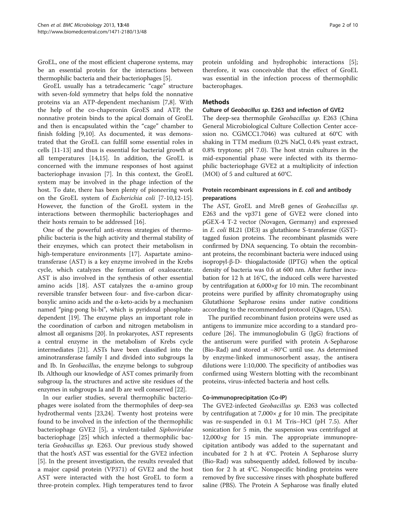GroEL, one of the most efficient chaperone systems, may be an essential protein for the interactions between thermophilic bacteria and their bacteriophages [[5](#page-8-0)].

GroEL usually has a tetradecameric "cage" structure with seven-fold symmetry that helps fold the nonnative proteins via an ATP-dependent mechanism [[7,8\]](#page-8-0). With the help of the co-chaperonin GroES and ATP, the nonnative protein binds to the apical domain of GroEL and then is encapsulated within the "cage" chamber to finish folding [\[9,10](#page-8-0)]. As documented, it was demonstrated that the GroEL can fulfill some essential roles in cells [[11-13](#page-8-0)] and thus is essential for bacterial growth at all temperatures [\[14](#page-8-0)[,15](#page-9-0)]. In addition, the GroEL is concerned with the immune responses of host against bacteriophage invasion [\[7](#page-8-0)]. In this context, the GroEL system may be involved in the phage infection of the host. To date, there has been plenty of pioneering work on the GroEL system of Escherichia coli [[7-10,12](#page-8-0)[-15](#page-9-0)]. However, the function of the GroEL system in the interactions between thermophilic bacteriophages and their hosts remain to be addressed [\[16](#page-9-0)].

One of the powerful anti-stress strategies of thermophilic bacteria is the high activity and thermal stability of their enzymes, which can protect their metabolism in high-temperature environments [\[17\]](#page-9-0). Aspartate aminotransferase (AST) is a key enzyme involved in the Krebs cycle, which catalyzes the formation of oxaloacetate. AST is also involved in the synthesis of other essential amino acids [[18](#page-9-0)]. AST catalyzes the α-amino group reversible transfer between four- and five-carbon dicarboxylic amino acids and the α-keto-acids by a mechanism named "ping-pong bi-bi", which is pyridoxal phosphatedependent [\[19\]](#page-9-0). The enzyme plays an important role in the coordination of carbon and nitrogen metabolism in almost all organisms [\[20\]](#page-9-0). In prokaryotes, AST represents a central enzyme in the metabolism of Krebs cycle intermediates [[21](#page-9-0)]. ASTs have been classified into the aminotransferase family I and divided into subgroups Ia and Ib. In Geobacillus, the enzyme belongs to subgroup Ib. Although our knowledge of AST comes primarily from subgroup Ia, the structures and active site residues of the enzymes in subgroups Ia and Ib are well conserved [[22\]](#page-9-0).

In our earlier studies, several thermophilic bacteriophages were isolated from the thermophiles of deep-sea hydrothermal vents [\[23,24](#page-9-0)]. Twenty host proteins were found to be involved in the infection of the thermophilic bacteriophage GVE2 [[5\]](#page-8-0), a virulent-tailed Siphoviridae bacteriophage [[25](#page-9-0)] which infected a thermophilic bacteria Geobacillus sp. E263. Our previous study showed that the host's AST was essential for the GVE2 infection [[5\]](#page-8-0). In the present investigation, the results revealed that a major capsid protein (VP371) of GVE2 and the host AST were interacted with the host GroEL to form a three-protein complex. High temperatures tend to favor

protein unfolding and hydrophobic interactions [\[5](#page-8-0)]; therefore, it was conceivable that the effect of GroEL was essential in the infection process of thermophilic bacterophages.

#### Methods

#### Culture of Geobacillus sp. E263 and infection of GVE2

The deep-sea thermophile Geobacillus sp. E263 (China General Microbiological Culture Collection Center accession no. CGMCC1.7046) was cultured at 60°C with shaking in TTM medium (0.2% NaCl, 0.4% yeast extract, 0.8% tryptone; pH 7.0). The host strain cultures in the mid-exponential phase were infected with its thermophilic bacteriophage GVE2 at a multiplicity of infection (MOI) of 5 and cultured at 60°C.

## Protein recombinant expressions in E. coli and antibody preparations

The AST, GroEL and MreB genes of Geobacillus sp. E263 and the vp371 gene of GVE2 were cloned into pGEX-4 T-2 vector (Novagen, Germany) and expressed in E. coli BL21 (DE3) as glutathione S-transferase (GST) tagged fusion proteins. The recombinant plasmids were confirmed by DNA sequencing. To obtain the recombinant proteins, the recombinant bacteria were induced using isopropyl-β-D- thiogalactoside (IPTG) when the optical density of bacteria was 0.6 at 600 nm. After further incubation for 12 h at 16°C, the induced cells were harvested by centrifugation at 6,000×g for 10 min. The recombinant proteins were purified by affinity chromatography using Glutathione Sepharose resins under native conditions according to the recommended protocol (Qiagen, USA).

The purified recombinant fusion proteins were used as antigens to immunize mice according to a standard procedure [[26\]](#page-9-0). The immunoglobulin G (IgG) fractions of the antiserum were purified with protein A-Sepharose (Bio-Rad) and stored at −80°C until use. As determined by enzyme-linked immunosorbent assay, the antisera dilutions were 1:10,000. The specificity of antibodies was confirmed using Western blotting with the recombinant proteins, virus-infected bacteria and host cells.

### Co-immunoprecipitation (Co-IP)

The GVE2-infected Geobacillus sp. E263 was collected by centrifugation at  $7,000 \times g$  for 10 min. The precipitate was re-suspended in 0.1 M Tris–HCl (pH 7.5). After sonication for 5 min, the suspension was centrifuged at 12,000×g for 15 min. The appropriate immunoprecipitation antibody was added to the supernatant and incubated for 2 h at 4°C. Protein A Sepharose slurry (Bio-Rad) was subsequently added, followed by incubation for 2 h at 4°C. Nonspecific binding proteins were removed by five successive rinses with phosphate buffered saline (PBS). The Protein A Sepharose was finally eluted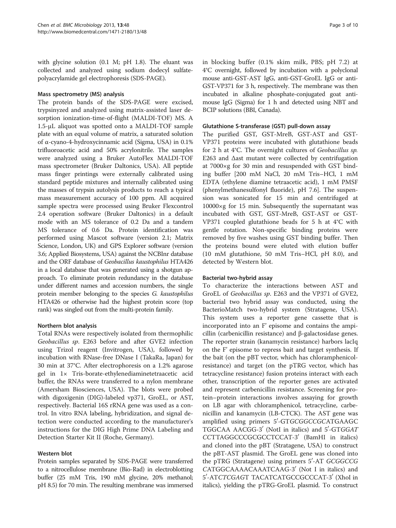with glycine solution (0.1 M; pH 1.8). The eluant was collected and analyzed using sodium dodecyl sulfatepolyacrylamide gel electrophoresis (SDS-PAGE).

#### Mass spectrometry (MS) analysis

The protein bands of the SDS-PAGE were excised, trypsinyzed and analyzed using matrix-assisted laser desorption ionization-time-of-flight (MALDI-TOF) MS. A 1.5-μL aliquot was spotted onto a MALDI-TOF sample plate with an equal volume of matrix, a saturated solution of α-cyano-4-hydroxycinnamic acid (Sigma, USA) in 0.1% trifluoroacetic acid and 50% acrylonitrile. The samples were analyzed using a Bruker AutoFlex MALDI-TOF mass spectrometer (Bruker Daltonics, USA). All peptide mass finger printings were externally calibrated using standard peptide mixtures and internally calibrated using the masses of trypsin autolysis products to reach a typical mass measurement accuracy of 100 ppm. All acquired sample spectra were processed using Bruker Flexcontrol 2.4 operation software (Bruker Daltonics) in a default mode with an MS tolerance of 0.2 Da and a tandem MS tolerance of 0.6 Da. Protein identification was performed using Mascot software (version 2.1; Matrix Science, London, UK) and GPS Explorer software (version 3.6; Applied Biosystems, USA) against the NCBInr database and the ORF database of Geobacillus kaustophilus HTA426 in a local database that was generated using a shotgun approach. To eliminate protein redundancy in the database under different names and accession numbers, the single protein member belonging to the species G. kaustophilus HTA426 or otherwise had the highest protein score (top rank) was singled out from the multi-protein family.

### Northern blot analysis

Total RNAs were respectively isolated from thermophilic Geobacillus sp. E263 before and after GVE2 infection using Trizol reagent (Invitrogen, USA), followed by incubation with RNase-free DNase I (TakaRa, Japan) for 30 min at 37°C. After electrophoresis on a 1.2% agarose gel in 1× Tris-borate-ethylenediaminetetraacetic acid buffer, the RNAs were transferred to a nylon membrane (Amersham Biosciences, USA). The blots were probed with digoxigenin (DIG)-labeled vp371, GroEL, or AST, respectively. Bacterial 16S rRNA gene was used as a control. In vitro RNA labeling, hybridization, and signal detection were conducted according to the manufacturer's instructions for the DIG High Prime DNA Labeling and Detection Starter Kit II (Roche, Germany).

### Western blot

Protein samples separated by SDS-PAGE were transferred to a nitrocellulose membrane (Bio-Rad) in electroblotting buffer (25 mM Tris, 190 mM glycine, 20% methanol; pH 8.5) for 70 min. The resulting membrane was immersed in blocking buffer (0.1% skim milk, PBS; pH 7.2) at 4°C overnight, followed by incubation with a polyclonal mouse anti-GST-AST IgG, anti-GST-GroEL IgG or anti-GST-VP371 for 3 h, respectively. The membrane was then incubated in alkaline phosphate-conjugated goat antimouse IgG (Sigma) for 1 h and detected using NBT and BCIP solutions (BBI, Canada).

#### Glutathione S-transferase (GST) pull-down assay

The purified GST, GST-MreB, GST-AST and GST-VP371 proteins were incubated with glutathione beads for 2 h at 4°C. The overnight cultures of Geobacillus sp. E263 and Δast mutant were collected by centrifugation at 7000×g for 30 min and resuspended with GST binding buffer [200 mM NaCl, 20 mM Tris–HCl, 1 mM EDTA (ethylene diamine tetraacetic acid), 1 mM PMSF (phenylmethanesulfonyl fluoride), pH 7.6]. The suspension was sonicated for 15 min and centrifuged at 10000×g for 15 min. Subsequently the supernatant was incubated with GST, GST-MreB, GST-AST or GST-VP371 coupled glutathione beads for 5 h at 4°C with gentle rotation. Non-specific binding proteins were removed by five washes using GST binding buffer. Then the proteins bound were eluted with elution buffer (10 mM glutathione, 50 mM Tris–HCl, pH 8.0), and detected by Western blot.

### Bacterial two-hybrid assay

To characterize the interactions between AST and GroEL of Geobacillus sp. E263 and the VP371 of GVE2, bacterial two hybrid assay was conducted, using the BacterioMatch two-hybrid system (Stratagene, USA). This system uses a reporter gene cassette that is incorporated into an F' episome and contains the ampicillin (carbenicillin resistance) and β-galactosidase genes. The reporter strain (kanamycin resistance) harbors lacIq on the F' episome to repress bait and target synthesis. If the bait (on the pBT vector, which has chloramphenicolresistance) and target (on the pTRG vector, which has tetracycline resistance) fusion proteins interact with each other, transcription of the reporter genes are activated and represent carbenicillin resistance. Screening for protein–protein interactions involves assaying for growth on LB agar with chloramphenicol, tetracycline, carbenicillin and kanamycin (LB-CTCK). The AST gene was amplified using primers 5'-GTGCGGCCGCATGAAGC TGGCAA AACGG-3' (NotI in italics) and 5'-GTGGAT CCTTAGGCCCGCGCCTCCAT-3' (BamHI in italics) and cloned into the pBT (Stratagene, USA) to construct the pBT-AST plasmid. The GroEL gene was cloned into the pTRG (Stratagene) using primers 5'-AT GCGGCCG CATGGCAAAACAAATCAAG-3' (Not I in italics) and 5'-ATCTCGAGT TACATCATGCCGCCCAT-3' (XhoI in italics), yielding the pTRG-GroEL plasmid. To construct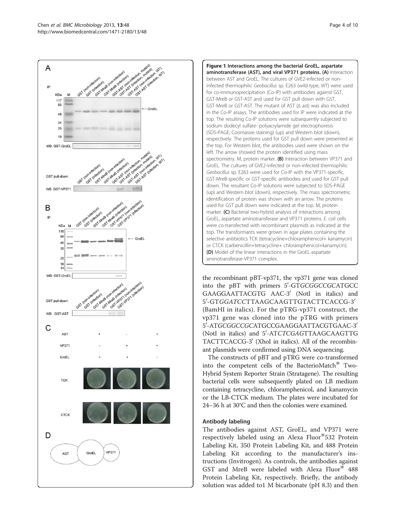<span id="page-3-0"></span>



the recombinant pBT-vp371, the vp371 gene was cloned into the pBT with primers 5'-GTGCGGCCGCATGCC GAAGGAATTACGTG AAC-3' (NotI in italics) and 5'-GTGGATCCTTAAGCAAGTTGTACTTCACCG-3' (BamHI in italics). For the pTRG-vp371 construct, the vp371 gene was cloned into the pTRG with primers 5'-ATGCGGCCGCATGCCGAAGGAATTACGTGAAC-3' (NotI in italics) and 5'-ATCTCGAGTTAAGCAAGTTG TACTTCACCG-3' (XhoI in italics). All of the recombinant plasmids were confirmed using DNA sequencing.

The constructs of pBT and pTRG were co-transformed into the competent cells of the BacterioMatch<sup>®</sup> Two-Hybrid System Reporter Strain (Stratagene). The resulting bacterial cells were subsequently plated on LB medium containing tetracycline, chloramphenicol, and kanamycin or the LB-CTCK medium. The plates were incubated for 24–36 h at 30°C and then the colonies were examined.

### Antibody labeling

The antibodies against AST, GroEL, and VP371 were respectively labeled using an Alexa Fluor®532 Protein Labeling Kit, 350 Protein Labeling Kit, and 488 Protein Labeling Kit according to the manufacturer's instructions (Invitrogen). As controls, the antibodies against GST and MreB were labeled with Alexa Fluor<sup>®</sup> 488 Protein Labeling Kit, respectively. Briefly, the antibody solution was added to1 M bicarbonate (pH 8.3) and then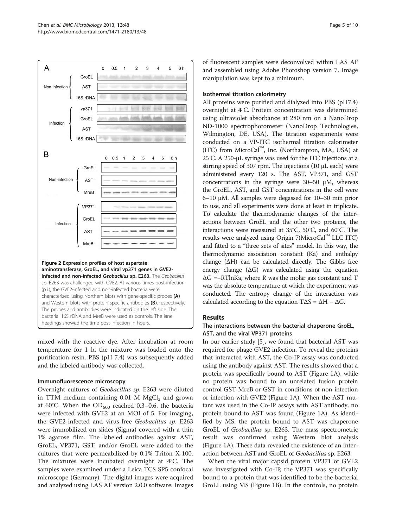<span id="page-4-0"></span>

mixed with the reactive dye. After incubation at room temperature for 1 h, the mixture was loaded onto the purification resin. PBS (pH 7.4) was subsequently added and the labeled antibody was collected.

### Immunofluorescence microscopy

Overnight cultures of Geobacillus sp. E263 were diluted in TTM medium containing  $0.01$  M MgCl<sub>2</sub> and grown at 60°C. When the  $OD_{600}$  reached 0.3–0.6, the bacteria were infected with GVE2 at an MOI of 5. For imaging, the GVE2-infected and virus-free Geobacillus sp. E263 were immobilized on slides (Sigma) covered with a thin 1% agarose film. The labeled antibodies against AST, GroEL, VP371, GST, and/or GroEL were added to the cultures that were permeabilized by 0.1% Triton X-100. The mixtures were incubated overnight at 4°C. The samples were examined under a Leica TCS SP5 confocal microscope (Germany). The digital images were acquired and analyzed using LAS AF version 2.0.0 software. Images

of fluorescent samples were deconvolved within LAS AF and assembled using Adobe Photoshop version 7. Image manipulation was kept to a minimum.

#### Isothermal titration calorimetry

All proteins were purified and dialyzed into PBS (pH7.4) overnight at 4°C. Protein concentration was determined using ultraviolet absorbance at 280 nm on a NanoDrop ND-1000 spectrophotometer (NanoDrop Technologies, Wilmington, DE, USA). The titration experiments were conducted on a VP-ITC isothermal titration calorimeter (ITC) from MicroCal™, Inc. (Northampton, MA, USA) at 25°C. A 250-μL syringe was used for the ITC injections at a stirring speed of 307 rpm. The injections (10 μL each) were administered every 120 s. The AST, VP371, and GST concentrations in the syringe were 30–50 μM, whereas the GroEL, AST, and GST concentrations in the cell were 6–10 μM. All samples were degassed for 10–30 min prior to use, and all experiments were done at least in triplicate. To calculate the thermodynamic changes of the interactions between GroEL and the other two proteins, the interactions were measured at 35°C, 50°C, and 60°C. The results were analyzed using Origin 7(MicroCal™ LLC ITC) and fitted to a "three sets of sites" model. In this way, the thermodynamic association constant (Ka) and enthalpy change  $(ΔH)$  can be calculated directly. The Gibbs free energy change  $( \Delta G )$  was calculated using the equation ΔG =−RTlnKa, where R was the molar gas constant and T was the absolute temperature at which the experiment was conducted. The entropy change of the interaction was calculated according to the equation  $T\Delta S = \Delta H - \Delta G$ .

## Results

## The interactions between the bacterial chaperone GroEL, AST, and the viral VP371 proteins

In our earlier study [[5](#page-8-0)], we found that bacterial AST was required for phage GVE2 infection. To reveal the proteins that interacted with AST, the Co-IP assay was conducted using the antibody against AST. The results showed that a protein was specifically bound to AST (Figure [1A](#page-3-0)), while no protein was bound to an unrelated fusion protein control GST-MreB or GST in conditions of non-infection or infection with GVE2 (Figure [1](#page-3-0)A). When the AST mutant was used in the Co-IP assays with AST antibody, no protein bound to AST was found (Figure [1](#page-3-0)A). As identified by MS, the protein bound to AST was chaperone GroEL of Geobacillus sp. E263. The mass spectrometric result was confirmed using Western blot analysis (Figure [1A](#page-3-0)). These data revealed the existence of an interaction between AST and GroEL of Geobacillus sp. E263.

When the viral major capsid protein VP371 of GVE2 was investigated with Co-IP, the VP371 was specifically bound to a protein that was identified to be the bacterial GroEL using MS (Figure [1](#page-3-0)B). In the controls, no protein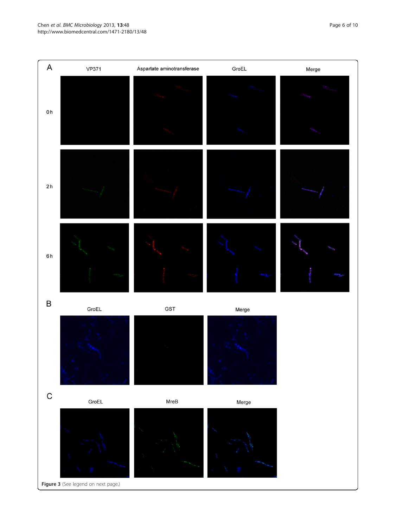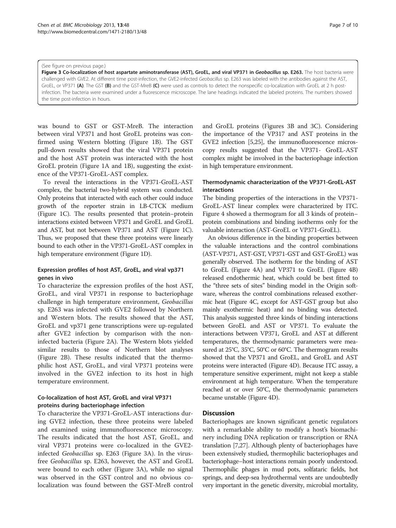#### (See figure on previous page.)

Figure 3 Co-localization of host aspartate aminotransferase (AST), GroEL, and viral VP371 in Geobacillus sp. E263. The host bacteria were challenged with GVE2. At different time post-infection, the GVE2-infected Geobacillus sp. E263 was labeled with the antibodies against the AST, GroEL, or VP371 (A). The GST (B) and the GST-MreB (C) were used as controls to detect the nonspecific co-localization with GroEL at 2 h postinfection. The bacteria were examined under a fluorescence microscope. The lane headings indicated the labeled proteins. The numbers showed the time post-infection in hours.

was bound to GST or GST-MreB. The interaction between viral VP371 and host GroEL proteins was confirmed using Western blotting (Figure [1](#page-3-0)B). The GST pull-down results showed that the viral VP371 protein and the host AST protein was interacted with the host GroEL protein (Figure [1A](#page-3-0) and [1](#page-3-0)B), suggesting the existence of the VP371-GroEL-AST complex.

To reveal the interactions in the VP371-GroEL-AST complex, the bacterial two-hybrid system was conducted. Only proteins that interacted with each other could induce growth of the reporter strain in LB-CTCK medium (Figure [1C](#page-3-0)). The results presented that protein–protein interactions existed between VP371 and GroEL and GroEL and AST, but not between VP371 and AST (Figure [1C](#page-3-0)). Thus, we proposed that these three proteins were linearly bound to each other in the VP371-GroEL-AST complex in high temperature environment (Figure [1](#page-3-0)D).

### Expression profiles of host AST, GroEL, and viral vp371 genes in vivo

To characterize the expression profiles of the host AST, GroEL, and viral VP371 in response to bacteriophage challenge in high temperature environment, Geobacillus sp. E263 was infected with GVE2 followed by Northern and Western blots. The results showed that the AST, GroEL and vp371 gene transcriptions were up-regulated after GVE2 infection by comparison with the noninfected bacteria (Figure [2](#page-4-0)A). The Western blots yielded similar results to those of Northern blot analyses (Figure [2B](#page-4-0)). These results indicated that the thermophilic host AST, GroEL, and viral VP371 proteins were involved in the GVE2 infection to its host in high temperature environment.

## Co-localization of host AST, GroEL and viral VP371 proteins during bacteriophage infection

To characterize the VP371-GroEL-AST interactions during GVE2 infection, these three proteins were labeled and examined using immunofluorescence microscopy. The results indicated that the host AST, GroEL, and viral VP371 proteins were co-localized in the GVE2 infected Geobacillus sp. E263 (Figure 3A). In the virusfree Geobacillus sp. E263, however, the AST and GroEL were bound to each other (Figure 3A), while no signal was observed in the GST control and no obvious colocalization was found between the GST-MreB control and GroEL proteins (Figures 3B and 3C). Considering the importance of the VP317 and AST proteins in the GVE2 infection [\[5](#page-8-0)[,25\]](#page-9-0), the immunofluorescence microscopy results suggested that the VP371- GroEL-AST complex might be involved in the bacteriophage infection in high temperature environment.

## Thermodynamic characterization of the VP371-GroEL-AST interactions

The binding properties of the interactions in the VP371- GroEL-AST linear complex were characterized by ITC. Figure [4](#page-7-0) showed a thermogram for all 3 kinds of protein– protein combinations and binding isotherms only for the valuable interaction (AST-GroEL or VP371-GroEL).

An obvious difference in the binding properties between the valuable interactions and the control combinations (AST-VP371, AST-GST, VP371-GST and GST-GroEL) was generally observed. The isotherm for the binding of AST to GroEL (Figure [4](#page-7-0)A) and VP371 to GroEL (Figure [4B](#page-7-0)) released endothermic heat, which could be best fitted to the "three sets of sites" binding model in the Origin software, whereas the control combinations released exothermic heat (Figure [4](#page-7-0)C, except for AST-GST group but also mainly exothermic heat) and no binding was detected. This analysis suggested three kinds of binding interactions between GroEL and AST or VP371. To evaluate the interactions between VP371, GroEL and AST at different temperatures, the thermodynamic parameters were measured at 25°C, 35°C, 50°C or 60°C. The thermogram results showed that the VP371 and GroEL, and GroEL and AST proteins were interacted (Figure [4](#page-7-0)D). Because ITC assay, a temperature sensitive experiment, might not keep a stable environment at high temperature. When the temperature reached at or over 50°C, the thermodynamic parameters became unstable (Figure [4D](#page-7-0)).

### **Discussion**

Bacteriophages are known significant genetic regulators with a remarkable ability to modify a host's biomachinery including DNA replication or transcription or RNA translation [[7](#page-8-0)[,27](#page-9-0)]. Although plenty of bacteriophages have been extensively studied, thermophilic bacteriophages and bacteriophage–host interactions remain poorly understood. Thermophilic phages in mud pots, solfataric fields, hot springs, and deep-sea hydrothermal vents are undoubtedly very important in the genetic diversity, microbial mortality,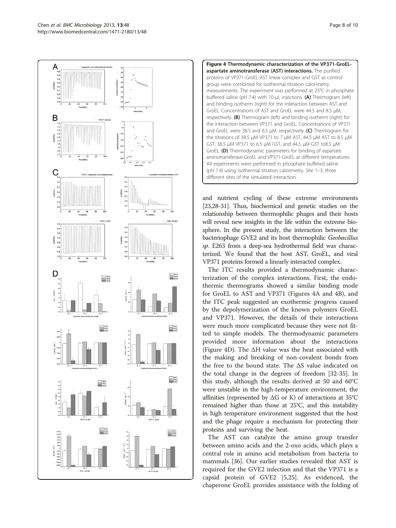<span id="page-7-0"></span>



and nutrient cycling of these extreme environments [[23,28-31](#page-9-0)]. Thus, biochemical and genetic studies on the relationship between thermophilic phages and their hosts will reveal new insights in the life within the extreme biosphere. In the present study, the interaction between the bacteriophage GVE2 and its host thermophilic Geobacillus sp. E263 from a deep-sea hydrothermal field was characterized. We found that the host AST, GroEL, and viral VP371 proteins formed a linearly interacted complex.

The ITC results provided a thermodynamic characterization of the complex interactions. First, the endothermic thermograms showed a similar binding mode for GroEL to AST and VP371 (Figures 4A and 4B), and the ITC peak suggested an exothermic progress caused by the depolymerization of the known polymers GroEL and VP371. However, the details of their interactions were much more complicated because they were not fitted to simple models. The thermodynamic parameters provided more information about the interactions (Figure 4D). The ΔH value was the heat associated with the making and breaking of non-covalent bonds from the free to the bound state. The ΔS value indicated on the total change in the degrees of freedom [[32-35](#page-9-0)]. In this study, although the results derived at 50 and 60°C were unstable in the high-temperature environment, the affinities (represented by ΔG or K) of interactions at 35°C remained higher than those at 25°C, and this instability in high temperature environment suggested that the host and the phage require a mechanism for protecting their proteins and surviving the heat.

The AST can catalyze the amino group transfer between amino acids and the 2-oxo acids, which plays a central role in amino acid metabolism from bacteria to mammals [\[36](#page-9-0)]. Our earlier studies revealed that AST is required for the GVE2 infection and that the VP371 is a capsid protein of GVE2 [[5,](#page-8-0)[25\]](#page-9-0). As evidenced, the chaperone GroEL provides assistance with the folding of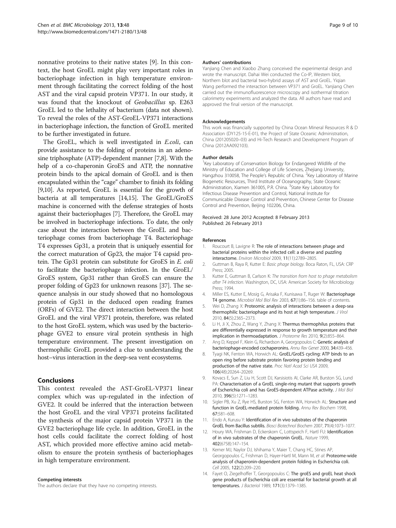<span id="page-8-0"></span>nonnative proteins to their native states [9]. In this context, the host GroEL might play very important roles in bacteriophage infection in high temperature environment through facilitating the correct folding of the host AST and the viral capsid protein VP371. In our study, it was found that the knockout of Geobacillus sp. E263 GroEL led to the lethality of bacterium (data not shown). To reveal the roles of the AST-GroEL-VP371 interactions in bacteriophage infection, the function of GroEL merited to be further investigated in future.

The GroEL, which is well investigated in E.coli, can provide assistance to the folding of proteins in an adenosine triphosphate (ATP)-dependent manner [7,8]. With the help of a co-chaperonin GroES and ATP, the nonnative protein binds to the apical domain of GroEL and is then encapsulated within the "cage" chamber to finish its folding [9,10]. As reported, GroEL is essential for the growth of bacteria at all temperatures [14[,15\]](#page-9-0). The GroEL/GroES machine is concerned with the defense strategies of hosts against their bacteriophages [7]. Therefore, the GroEL may be involved in bacteriophage infections. To date, the only case about the interaction between the GroEL and bacteriophage comes from bacteriophage T4. Bacteriophage T4 expresses Gp31, a protein that is uniquely essential for the correct maturation of Gp23, the major T4 capsid protein. The Gp31 protein can substitute for GroES in E. coli to facilitate the bacteriophage infection. In the GroEL/ GroES system, Gp31 rather than GroES can ensure the proper folding of Gp23 for unknown reasons [[37](#page-9-0)]. The sequence analysis in our study showed that no homologous protein of Gp31 in the deduced open reading frames (ORFs) of GVE2. The direct interaction between the host GroEL and the viral VP371 protein, therefore, was related to the host GroEL system, which was used by the bacteriophage GVE2 to ensure viral protein synthesis in high temperature environment. The present investigation on thermophilic GroEL provided a clue to understanding the host–virus interaction in the deep-sea vent ecosystems.

### Conclusions

This context revealed the AST-GroEL-VP371 linear complex which was up-regulated in the infection of GVE2. It could be inferred that the interaction between the host GroEL and the viral VP371 proteins facilitated the synthesis of the major capsid protein VP371 in the GVE2 bacteriophage life cycle. In addition, GroEL in the host cells could facilitate the correct folding of host AST, which provided more effective amino acid metabolism to ensure the protein synthesis of bacteriophages in high temperature environment.

#### Competing interests

The authors declare that they have no competing interests.

#### Authors' contributions

Yanjiang Chen and Xiaobo Zhang conceived the experimental design and wrote the manuscript. Dahai Wei conducted the Co-IP, Western blot, Northern blot and bacterial two-hybrid assays of AST and GroEL. Yiqian Wang performed the interaction between VP371 and GroEL. Yanjiang Chen carried out the immunofluorescence microscopy and isothermal titration calorimetry experiments and analyzed the data. All authors have read and approved the final version of the manuscript.

#### Acknowledgements

This work was financially supported by China Ocean Mineral Resources R & D Association (DY125-15-E-01), the Project of State Oceanic Administration, China (201205020–03) and Hi-Tech Research and Development Program of China (2012AA092103).

#### Author details

<sup>1</sup> Key Laboratory of Conservation Biology for Endangered Wildlife of the Ministry of Education and College of Life Sciences, Zhejiang University, Hangzhou 310058, The People's Republic of China. <sup>2</sup> Key Laboratory of Marine Biogenetic Resources, Third Institute of Oceanography, State Oceanic Administration, Xiamen 361005, P.R. China. <sup>3</sup>State Key Laboratory for Infectious Disease Prevention and Control, National Institute for Communicable Disease Control and Prevention, Chinese Center for Disease Control and Prevention, Beijing 102206, China.

#### Received: 28 June 2012 Accepted: 8 February 2013 Published: 26 February 2013

#### References

- 1. Roucourt B, Lavigne R: The role of interactions between phage and bacterial proteins within the infected cell: a diverse and puzzling interactome. Environ Microbiol 2009, 11(11):2789–2805.
- 2. Guttman B, Raya R, Kutter E: Basic phage biology. Boca Raton, FL, USA: CRP Press; 2005.
- 3. Kutter E, Guttman B, Carlson K: The transition from host to phage metabolism after T4 infection. Washington, DC, USA: American Society for Microbiology Press; 1994.
- 4. Miller ES, Kutter E, Mosig G, Arisaka F, Kunisawa T, Ruger W: Bacteriophage T4 genome. Microbiol Mol Biol Rev 2003, 67(1):86–156. table of contents.
- 5. Wei D, Zhang X: Proteomic analysis of interactions between a deep-sea thermophilic bacteriophage and its host at high temperature. J Virol 2010, 84(5):2365–2373.
- 6. Li H, Ji X, Zhou Z, Wang Y, Zhang X: Thermus thermophilus proteins that are differentially expressed in response to growth temperature and their implication in thermoadaptation. J Proteome Res 2010, 9(2):855–864.
- 7. Ang D, Keppel F, Klein G, Richardson A, Georgopoulos C: Genetic analysis of bacteriophage-encoded cochaperonins. Annu Rev Genet 2000, 34:439–456.
- 8. Tyagi NK, Fenton WA, Horwich AL: GroEL/GroES cycling: ATP binds to an open ring before substrate protein favoring protein binding and production of the native state. Proc Natl Acad Sci USA 2009, 106(48):20264–20269.
- 9. Kovacs E, Sun Z, Liu H, Scott DJ, Karsisiotis AI, Clarke AR, Burston SG, Lund PA: Characterisation of a GroEL single-ring mutant that supports growth of Escherichia coli and has GroES-dependent ATPase activity. J Mol Biol 2010, 396(5):1271–1283.
- 10. Sigler PB, Xu Z, Rye HS, Burston SG, Fenton WA, Horwich AL: Structure and function in GroEL-mediated protein folding. Annu Rev Biochem 1998, 67:581–608.
- 11. Endo A, Kurusu Y: Identification of in vivo substrates of the chaperonin GroEL from Bacillus subtilis. Biosci Biotechnol Biochem 2007, 71(4):1073–1077.
- 12. Houry WA, Frishman D, Eckerskorn C, Lottspeich F, Hartl FU: Identification of in vivo substrates of the chaperonin GroEL. Nature 1999, 402(6758):147–154.
- 13. Kerner MJ, Naylor DJ, Ishihama Y, Maier T, Chang HC, Stines AP, Georgopoulos C, Frishman D, Hayer-Hartl M, Mann M, et al: Proteome-wide analysis of chaperonin-dependent protein folding in Escherichia coli. Cell 2005, 122(2):209–220.
- 14. Fayet O, Ziegelhoffer T, Georgopoulos C: The groES and groEL heat shock gene products of Escherichia coli are essential for bacterial growth at all temperatures. J Bacteriol 1989, 171(3):1379–1385.